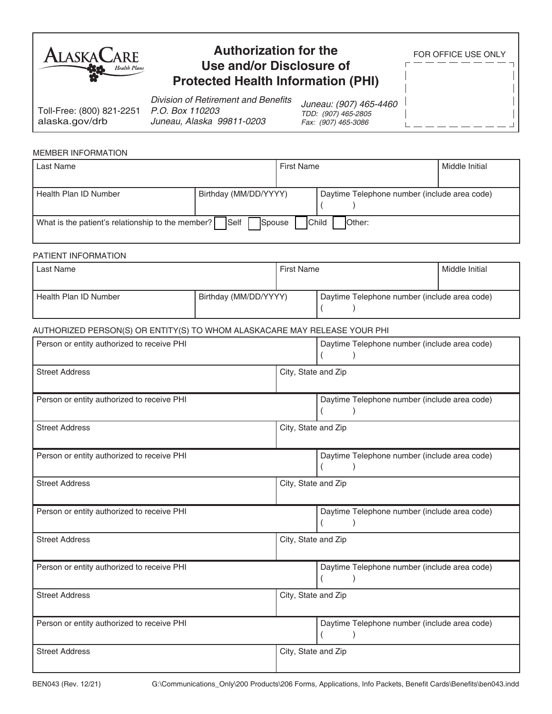| <b>ALASKAL</b> | ARE                 |
|----------------|---------------------|
|                | <b>Health Plans</b> |

# **Authorization for the Use and/or Disclosure of Protected Health Information (PHI)**

FOR OFFICE USE ONLY

Toll-Free: (800) 821-2251 alaska.gov/drb

Division of Retirement and Benefits *P.O. Box 110203 Juneau, Alaska 99811-0203*

*Juneau: (907) 465-4460 TDD: (907) 465-2805 Fax: (907) 465-3086*

 $\overline{1}$ 

### MEMBER INFORMATION

| Last Name                                                                                                    |                       | <b>First Name</b> |                                              | Middle Initial |
|--------------------------------------------------------------------------------------------------------------|-----------------------|-------------------|----------------------------------------------|----------------|
| Health Plan ID Number                                                                                        | Birthday (MM/DD/YYYY) |                   | Daytime Telephone number (include area code) |                |
| <b>Self</b><br>What is the patient's relationship to the member?<br>Spouse<br><b>IChild</b><br><b>Other:</b> |                       |                   |                                              |                |

### PATIENT INFORMATION

| Last Name             |                       | <b>First Name</b>                            |  | Middle Initial |
|-----------------------|-----------------------|----------------------------------------------|--|----------------|
| Health Plan ID Number | Birthday (MM/DD/YYYY) | Daytime Telephone number (include area code) |  |                |

## AUTHORIZED PERSON(S) OR ENTITY(S) TO WHOM ALASKACARE MAY RELEASE YOUR PHI

| Person or entity authorized to receive PHI | Daytime Telephone number (include area code) |
|--------------------------------------------|----------------------------------------------|
| <b>Street Address</b>                      | City, State and Zip                          |
| Person or entity authorized to receive PHI | Daytime Telephone number (include area code) |
| <b>Street Address</b>                      | City, State and Zip                          |
| Person or entity authorized to receive PHI | Daytime Telephone number (include area code) |
| <b>Street Address</b>                      | City, State and Zip                          |
| Person or entity authorized to receive PHI | Daytime Telephone number (include area code) |
| <b>Street Address</b>                      | City, State and Zip                          |
| Person or entity authorized to receive PHI | Daytime Telephone number (include area code) |
| <b>Street Address</b>                      | City, State and Zip                          |
| Person or entity authorized to receive PHI | Daytime Telephone number (include area code) |
| <b>Street Address</b>                      | City, State and Zip                          |